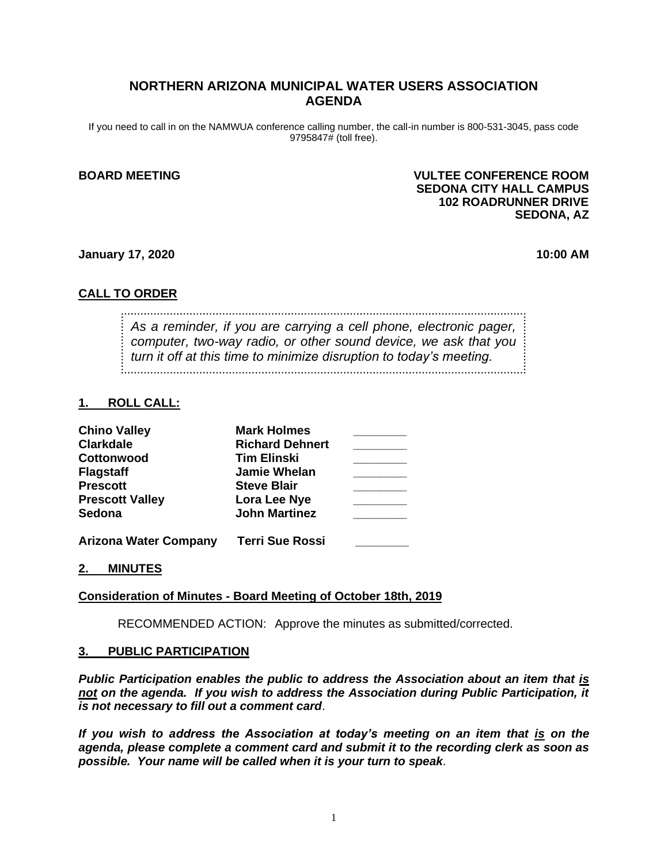# **NORTHERN ARIZONA MUNICIPAL WATER USERS ASSOCIATION AGENDA**

If you need to call in on the NAMWUA conference calling number, the call-in number is 800-531-3045, pass code 9795847# (toll free).

## **BOARD MEETING VULTEE CONFERENCE ROOM SEDONA CITY HALL CAMPUS 102 ROADRUNNER DRIVE SEDONA, AZ**

## **January 17, 2020 10:00 AM**

# **CALL TO ORDER**

*As a reminder, if you are carrying a cell phone, electronic pager, computer, two-way radio, or other sound device, we ask that you turn it off at this time to minimize disruption to today's meeting.*

## **1. ROLL CALL:**

| <b>Chino Valley</b>          | <b>Mark Holmes</b>     |  |
|------------------------------|------------------------|--|
| <b>Clarkdale</b>             | <b>Richard Dehnert</b> |  |
| Cottonwood                   | <b>Tim Elinski</b>     |  |
| <b>Flagstaff</b>             | <b>Jamie Whelan</b>    |  |
| <b>Prescott</b>              | <b>Steve Blair</b>     |  |
| <b>Prescott Valley</b>       | Lora Lee Nye           |  |
| <b>Sedona</b>                | <b>John Martinez</b>   |  |
| <b>Arizona Water Company</b> | <b>Terri Sue Rossi</b> |  |

## **2. MINUTES**

# **Consideration of Minutes - Board Meeting of October 18th, 2019**

RECOMMENDED ACTION: Approve the minutes as submitted/corrected.

## **3. PUBLIC PARTICIPATION**

*Public Participation enables the public to address the Association about an item that is not on the agenda. If you wish to address the Association during Public Participation, it is not necessary to fill out a comment card*.

*If you wish to address the Association at today's meeting on an item that is on the agenda, please complete a comment card and submit it to the recording clerk as soon as possible. Your name will be called when it is your turn to speak*.